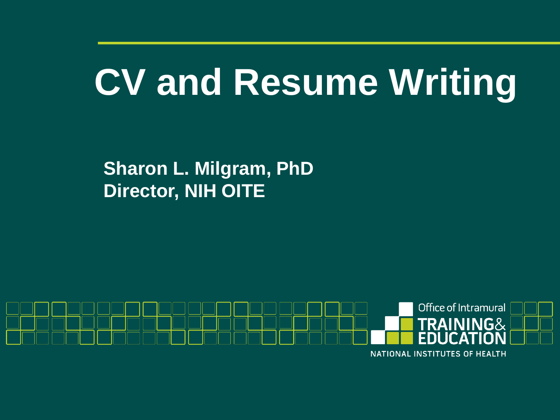# **CV and Resume Writing**

**Sharon L. Milgram, PhD Director, NIH OITE**

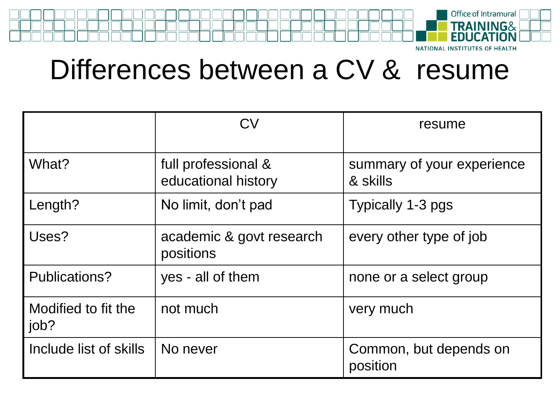

Differences between a CV & resume

|                             | CV                                         | resume                                 |
|-----------------------------|--------------------------------------------|----------------------------------------|
| What?                       | full professional &<br>educational history | summary of your experience<br>& skills |
| Length?                     | No limit, don't pad                        | Typically 1-3 pgs                      |
| Uses?                       | academic & govt research<br>positions      | every other type of job                |
| Publications?               | yes - all of them                          | none or a select group                 |
| Modified to fit the<br>job? | not much                                   | very much                              |
| I Include list of skills    | No never                                   | Common, but depends on<br>position     |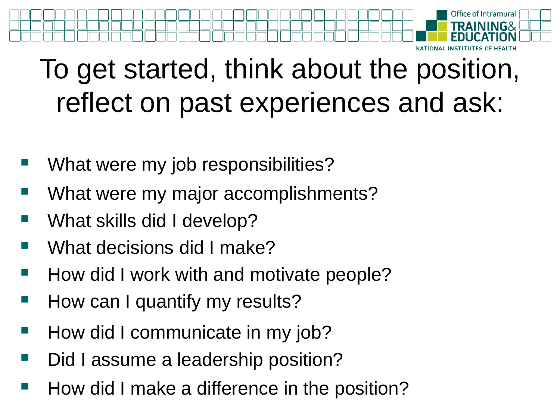

## To get started, think about the position, reflect on past experiences and ask:

- What were my job responsibilities?
- What were my major accomplishments?
- What skills did I develop?
- What decisions did I make?
- How did I work with and motivate people?
- How can I quantify my results?
- How did I communicate in my job?
- Did I assume a leadership position?
- How did I make a difference in the position?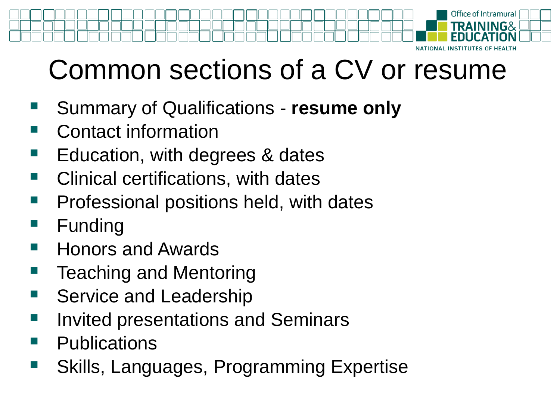

## Common sections of a CV or resume

- Summary of Qualifications **resume only**
- Contact information
- Education, with degrees & dates
- Clinical certifications, with dates
- Professional positions held, with dates
- Funding
- Honors and Awards
- Teaching and Mentoring
- Service and Leadership
- Invited presentations and Seminars
- **Publications**
- Skills, Languages, Programming Expertise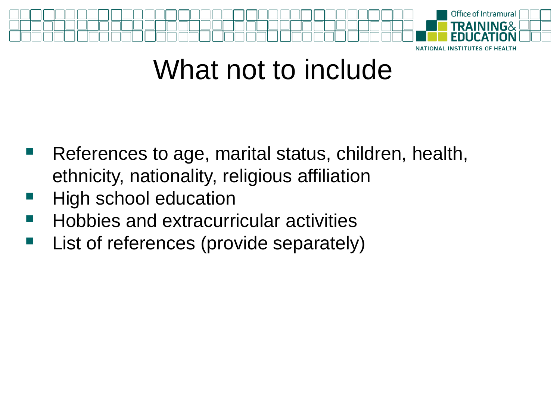

### What not to include

- References to age, marital status, children, health, ethnicity, nationality, religious affiliation
- High school education
- Hobbies and extracurricular activities
- List of references (provide separately)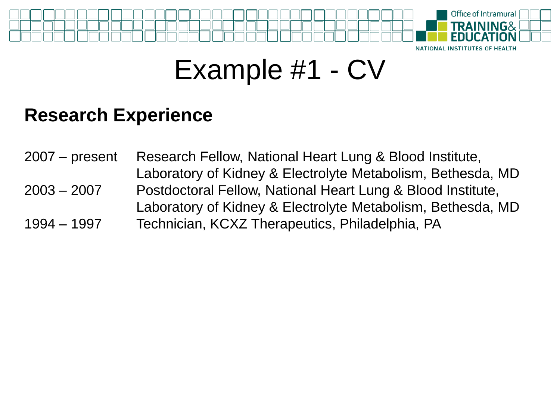

### Example #1 - CV

#### **Research Experience**

2007 – present Research Fellow, National Heart Lung & Blood Institute, Laboratory of Kidney & Electrolyte Metabolism, Bethesda, MD 2003 – 2007 Postdoctoral Fellow, National Heart Lung & Blood Institute, Laboratory of Kidney & Electrolyte Metabolism, Bethesda, MD 1994 – 1997 Technician, KCXZ Therapeutics, Philadelphia, PA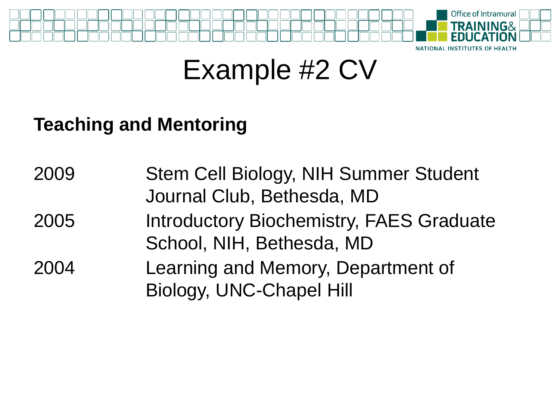

### Example #2 CV

#### **Teaching and Mentoring**

| 2009 | Stem Cell Biology, NIH Summer Student           |  |
|------|-------------------------------------------------|--|
|      | Journal Club, Bethesda, MD                      |  |
| 2005 | <b>Introductory Biochemistry, FAES Graduate</b> |  |
|      | School, NIH, Bethesda, MD                       |  |
| 2004 | Learning and Memory, Department of              |  |
|      | Biology, UNC-Chapel Hill                        |  |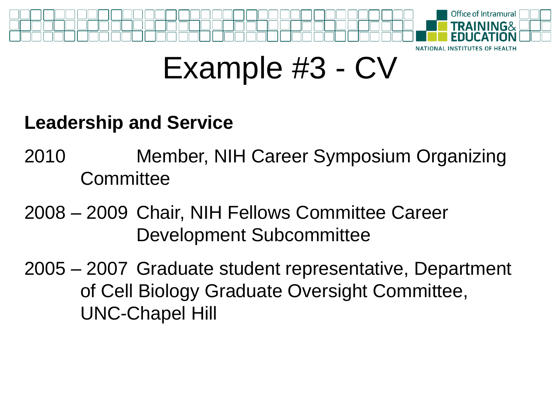

## Example #3 - CV

#### **Leadership and Service**

- 2010 Member, NIH Career Symposium Organizing **Committee**
- 2008 2009 Chair, NIH Fellows Committee Career Development Subcommittee
- 2005 2007 Graduate student representative, Department of Cell Biology Graduate Oversight Committee, UNC-Chapel Hill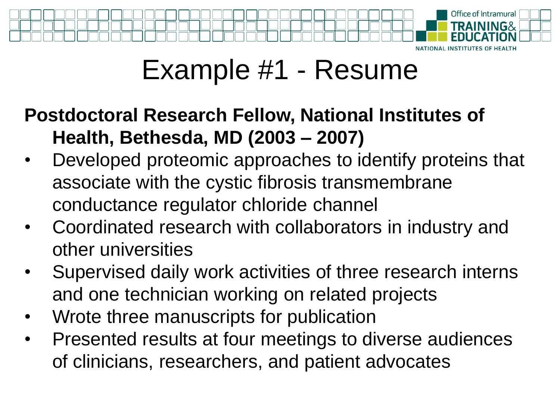

### Example #1 - Resume

### **Postdoctoral Research Fellow, National Institutes of Health, Bethesda, MD (2003 – 2007)**

- Developed proteomic approaches to identify proteins that associate with the cystic fibrosis transmembrane conductance regulator chloride channel
- Coordinated research with collaborators in industry and other universities
- Supervised daily work activities of three research interns and one technician working on related projects
- Wrote three manuscripts for publication
- Presented results at four meetings to diverse audiences of clinicians, researchers, and patient advocates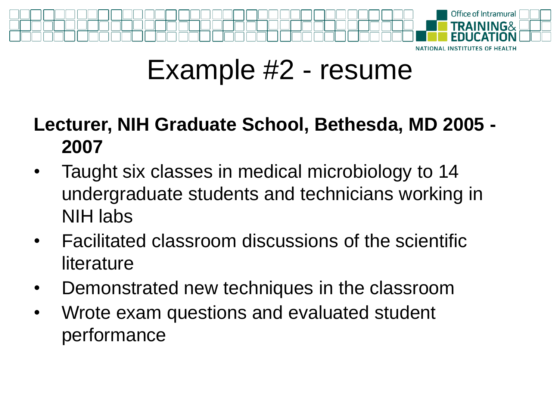

### Example #2 - resume

#### **Lecturer, NIH Graduate School, Bethesda, MD 2005 - 2007**

- Taught six classes in medical microbiology to 14 undergraduate students and technicians working in NIH labs
- Facilitated classroom discussions of the scientific literature
- Demonstrated new techniques in the classroom
- Wrote exam questions and evaluated student performance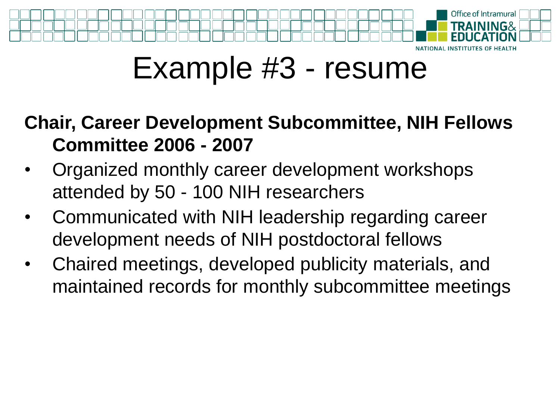

## Example #3 - resume

#### **Chair, Career Development Subcommittee, NIH Fellows Committee 2006 - 2007**

- Organized monthly career development workshops attended by 50 - 100 NIH researchers
- Communicated with NIH leadership regarding career development needs of NIH postdoctoral fellows
- Chaired meetings, developed publicity materials, and maintained records for monthly subcommittee meetings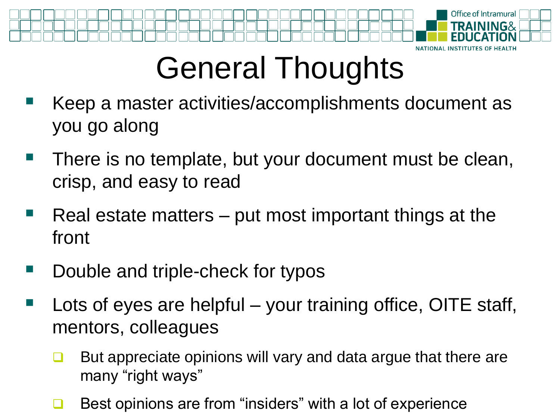

# General Thoughts

- Keep a master activities/accomplishments document as you go along
- There is no template, but your document must be clean, crisp, and easy to read
- Real estate matters put most important things at the front
- Double and triple-check for typos
- Lots of eyes are helpful your training office, OITE staff, mentors, colleagues
	- $\Box$  But appreciate opinions will vary and data argue that there are many "right ways"
	- Best opinions are from "insiders" with a lot of experience